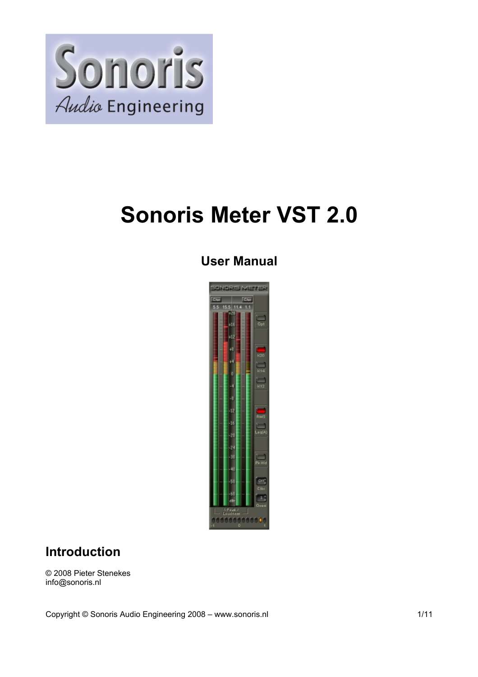

# **Sonoris Meter VST 2.0**

### **User Manual**



#### **Introduction**

© 2008 Pieter Stenekes info@sonoris.nl

Copyright © Sonoris Audio Engineering 2008 – www.sonoris.nl 1/11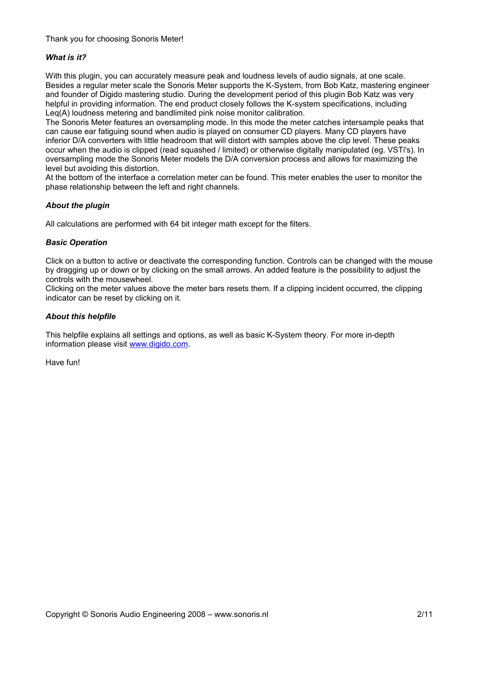#### Thank you for choosing Sonoris Meter!

#### *What is it?*

With this plugin, you can accurately measure peak and loudness levels of audio signals, at one scale. Besides a regular meter scale the Sonoris Meter supports the K-System, from Bob Katz, mastering engineer and founder of Digido mastering studio. During the development period of this plugin Bob Katz was very helpful in providing information. The end product closely follows the K-system specifications, including Leq(A) loudness metering and bandlimited pink noise monitor calibration.

The Sonoris Meter features an oversampling mode. In this mode the meter catches intersample peaks that can cause ear fatiguing sound when audio is played on consumer CD players. Many CD players have inferior D/A converters with little headroom that will distort with samples above the clip level. These peaks occur when the audio is clipped (read squashed / limited) or otherwise digitally manipulated (eg. VSTi's). In oversampling mode the Sonoris Meter models the D/A conversion process and allows for maximizing the level but avoiding this distortion.

At the bottom of the interface a correlation meter can be found. This meter enables the user to monitor the phase relationship between the left and right channels.

#### *About the plugin*

All calculations are performed with 64 bit integer math except for the filters.

#### *Basic Operation*

Click on a button to active or deactivate the corresponding function. Controls can be changed with the mouse by dragging up or down or by clicking on the small arrows. An added feature is the possibility to adjust the controls with the mousewheel.

Clicking on the meter values above the meter bars resets them. If a clipping incident occurred, the clipping indicator can be reset by clicking on it.

#### *About this helpfile*

This helpfile explains all settings and options, as well as basic K-System theory. For more in-depth information please visit [www.digido.com.](http://www.digido.com/)

Have fun!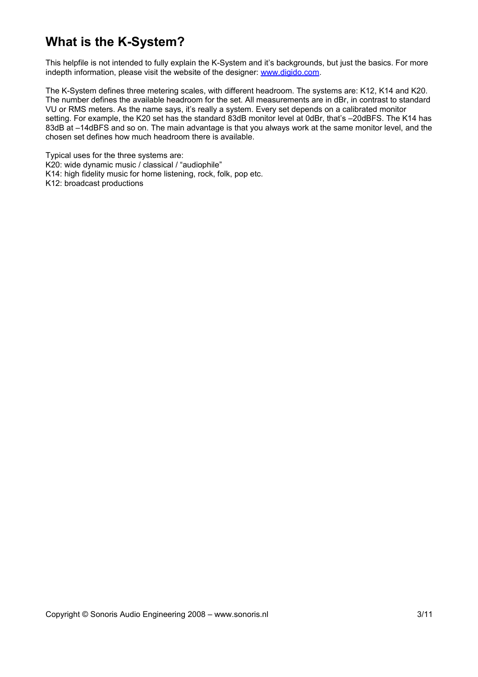### **What is the K-System?**

This helpfile is not intended to fully explain the K-System and it's backgrounds, but just the basics. For more indepth information, please visit the website of the designer: [www.digido.com.](http://www.digido.com/)

The K-System defines three metering scales, with different headroom. The systems are: K12, K14 and K20. The number defines the available headroom for the set. All measurements are in dBr, in contrast to standard VU or RMS meters. As the name says, it's really a system. Every set depends on a calibrated monitor setting. For example, the K20 set has the standard 83dB monitor level at 0dBr, that's -20dBFS. The K14 has 83dB at –14dBFS and so on. The main advantage is that you always work at the same monitor level, and the chosen set defines how much headroom there is available.

Typical uses for the three systems are: K20: wide dynamic music / classical / "audiophile" K14: high fidelity music for home listening, rock, folk, pop etc. K12: broadcast productions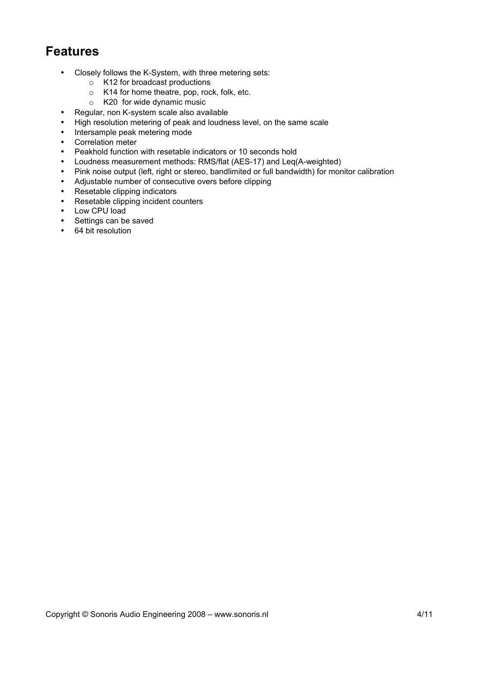#### **Features**

- Closely follows the K-System, with three metering sets:
	- o K12 for broadcast productions
	- o K14 for home theatre, pop, rock, folk, etc.
	- o K20 for wide dynamic music
- Regular, non K-system scale also available
- High resolution metering of peak and loudness level, on the same scale
- Intersample peak metering mode
- Correlation meter
- Peakhold function with resetable indicators or 10 seconds hold
- Loudness measurement methods: RMS/flat (AES-17) and Leq(A-weighted)
- Pink noise output (left, right or stereo, bandlimited or full bandwidth) for monitor calibration
- Adjustable number of consecutive overs before clipping
- Resetable clipping indicators
- Resetable clipping incident counters
- Low CPU load
- Settings can be saved
- 64 bit resolution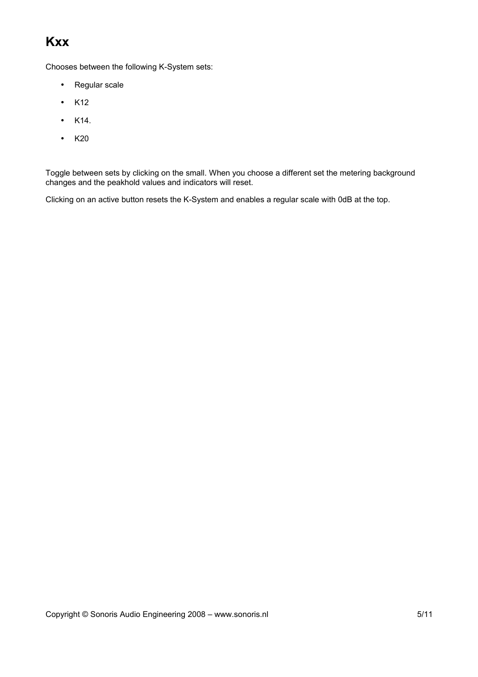# **Kxx**

Chooses between the following K-System sets:

- Regular scale
- K12
- $\bullet$  K14.
- $\bullet$  K<sub>20</sub>

Toggle between sets by clicking on the small. When you choose a different set the metering background changes and the peakhold values and indicators will reset.

Clicking on an active button resets the K-System and enables a regular scale with 0dB at the top.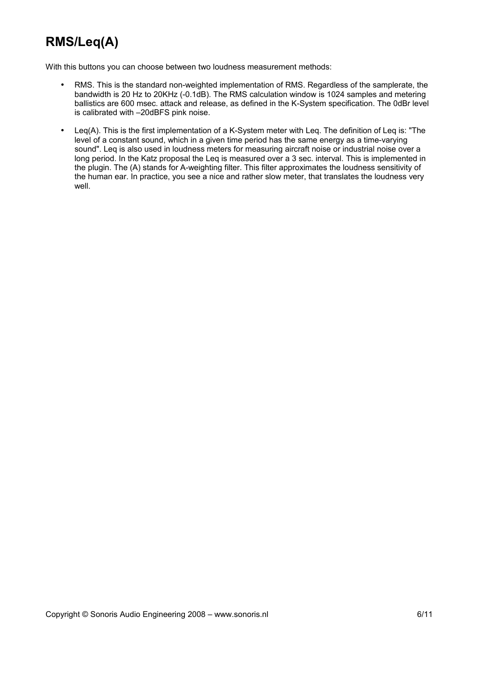# **RMS/Leq(A)**

With this buttons you can choose between two loudness measurement methods:

- RMS. This is the standard non-weighted implementation of RMS. Regardless of the samplerate, the bandwidth is 20 Hz to 20KHz (-0.1dB). The RMS calculation window is 1024 samples and metering ballistics are 600 msec. attack and release, as defined in the K-System specification. The 0dBr level is calibrated with –20dBFS pink noise.
- Leq(A). This is the first implementation of a K-System meter with Leq. The definition of Leq is: "The level of a constant sound, which in a given time period has the same energy as a time-varying sound". Leq is also used in loudness meters for measuring aircraft noise or industrial noise over a long period. In the Katz proposal the Leq is measured over a 3 sec. interval. This is implemented in the plugin. The (A) stands for A-weighting filter. This filter approximates the loudness sensitivity of the human ear. In practice, you see a nice and rather slow meter, that translates the loudness very well.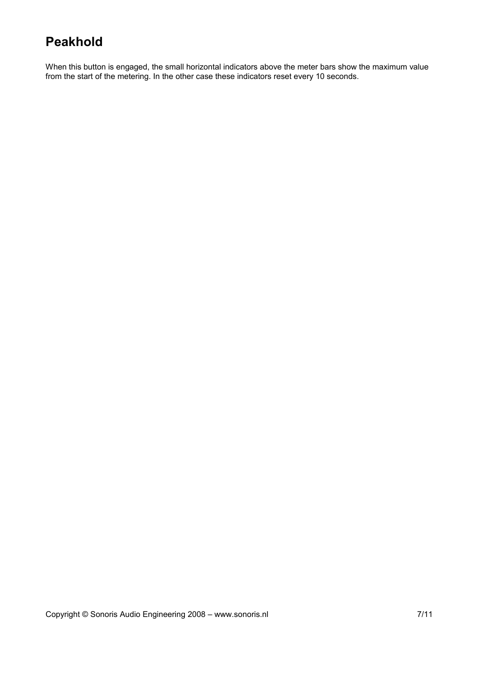### **Peakhold**

When this button is engaged, the small horizontal indicators above the meter bars show the maximum value from the start of the metering. In the other case these indicators reset every 10 seconds.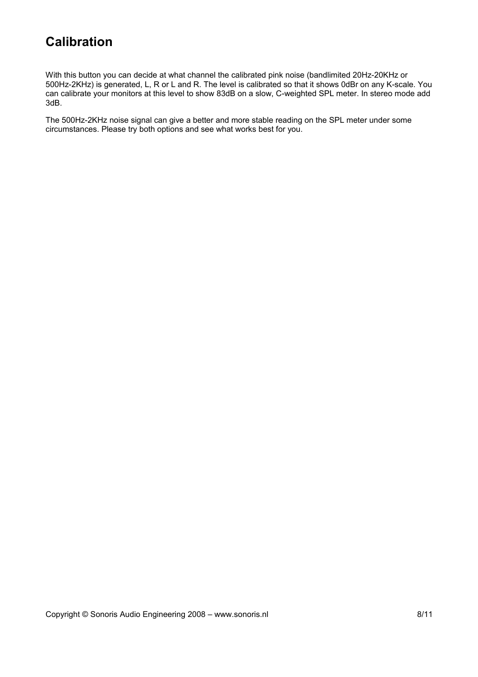### **Calibration**

With this button you can decide at what channel the calibrated pink noise (bandlimited 20Hz-20KHz or 500Hz-2KHz) is generated, L, R or L and R. The level is calibrated so that it shows 0dBr on any K-scale. You can calibrate your monitors at this level to show 83dB on a slow, C-weighted SPL meter. In stereo mode add 3dB.

The 500Hz-2KHz noise signal can give a better and more stable reading on the SPL meter under some circumstances. Please try both options and see what works best for you.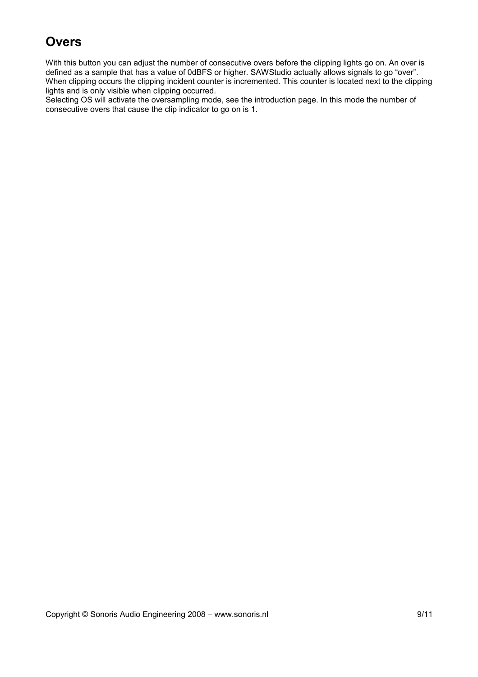# **Overs**

With this button you can adjust the number of consecutive overs before the clipping lights go on. An over is defined as a sample that has a value of 0dBFS or higher. SAWStudio actually allows signals to go "over". When clipping occurs the clipping incident counter is incremented. This counter is located next to the clipping lights and is only visible when clipping occurred.

Selecting OS will activate the oversampling mode, see the introduction page. In this mode the number of consecutive overs that cause the clip indicator to go on is 1.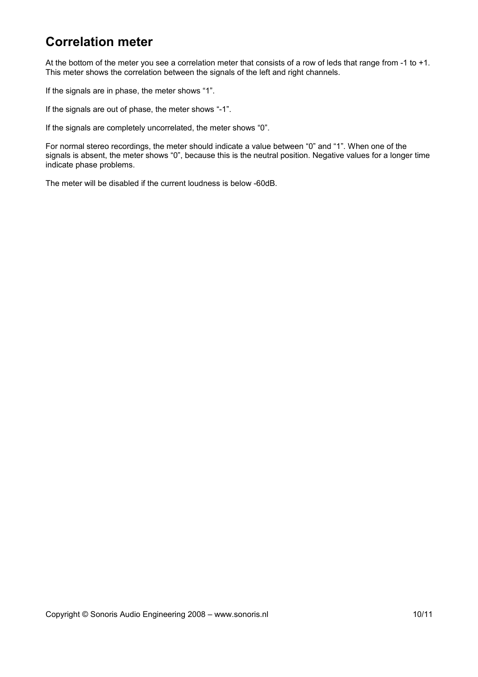### **Correlation meter**

At the bottom of the meter you see a correlation meter that consists of a row of leds that range from -1 to +1. This meter shows the correlation between the signals of the left and right channels.

If the signals are in phase, the meter shows "1".

If the signals are out of phase, the meter shows "-1".

If the signals are completely uncorrelated, the meter shows "0".

For normal stereo recordings, the meter should indicate a value between "0" and "1". When one of the signals is absent, the meter shows "0", because this is the neutral position. Negative values for a longer time indicate phase problems.

The meter will be disabled if the current loudness is below -60dB.